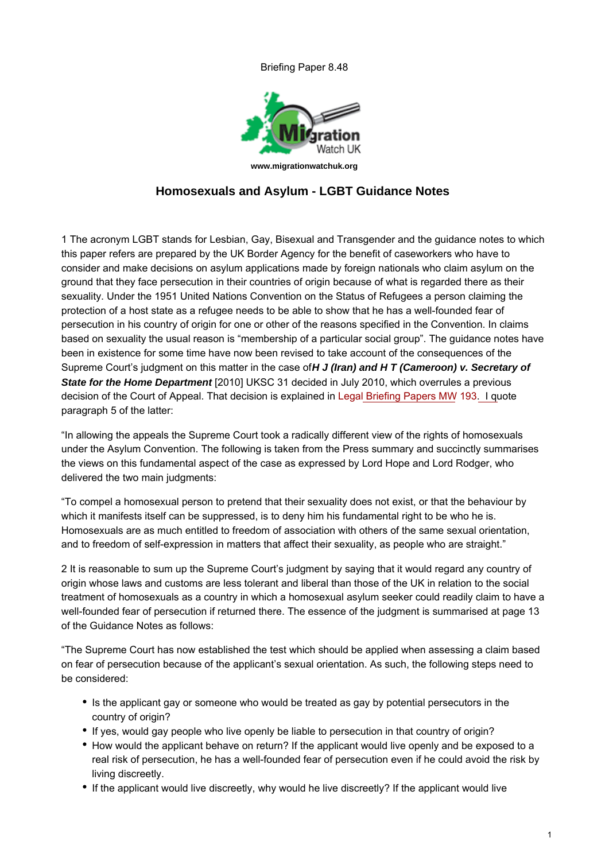Briefing Paper 8.48



## **Homosexuals and Asylum - LGBT Guidance Notes**

1 The acronym LGBT stands for Lesbian, Gay, Bisexual and Transgender and the guidance notes to which this paper refers are prepared by the UK Border Agency for the benefit of caseworkers who have to consider and make decisions on asylum applications made by foreign nationals who claim asylum on the ground that they face persecution in their countries of origin because of what is regarded there as their sexuality. Under the 1951 United Nations Convention on the Status of Refugees a person claiming the protection of a host state as a refugee needs to be able to show that he has a well-founded fear of persecution in his country of origin for one or other of the reasons specified in the Convention. In claims based on sexuality the usual reason is "membership of a particular social group". The guidance notes have been in existence for some time have now been revised to take account of the consequences of the Supreme Court's judgment on this matter in the case of **H J (Iran) and H T (Cameroon) v. Secretary of State for the Home Department** [2010] UKSC 31 decided in July 2010, which overrules a previous decision of the Court of Appeal. That decision is explained in [Legal Briefing Papers MW 193](http://www.migrationwatchuk.org/briefing-paper/193)[. I qu](/briefingPaper/document/193)ote paragraph 5 of the latter:

"In allowing the appeals the Supreme Court took a radically different view of the rights of homosexuals under the Asylum Convention. The following is taken from the Press summary and succinctly summarises the views on this fundamental aspect of the case as expressed by Lord Hope and Lord Rodger, who delivered the two main judgments:

"To compel a homosexual person to pretend that their sexuality does not exist, or that the behaviour by which it manifests itself can be suppressed, is to deny him his fundamental right to be who he is. Homosexuals are as much entitled to freedom of association with others of the same sexual orientation, and to freedom of self-expression in matters that affect their sexuality, as people who are straight."

2 It is reasonable to sum up the Supreme Court's judgment by saying that it would regard any country of origin whose laws and customs are less tolerant and liberal than those of the UK in relation to the social treatment of homosexuals as a country in which a homosexual asylum seeker could readily claim to have a well-founded fear of persecution if returned there. The essence of the judgment is summarised at page 13 of the Guidance Notes as follows:

"The Supreme Court has now established the test which should be applied when assessing a claim based on fear of persecution because of the applicant's sexual orientation. As such, the following steps need to be considered:

- Is the applicant gay or someone who would be treated as gay by potential persecutors in the country of origin?
- If yes, would gay people who live openly be liable to persecution in that country of origin?
- How would the applicant behave on return? If the applicant would live openly and be exposed to a real risk of persecution, he has a well-founded fear of persecution even if he could avoid the risk by living discreetly.
- If the applicant would live discreetly, why would he live discreetly? If the applicant would live